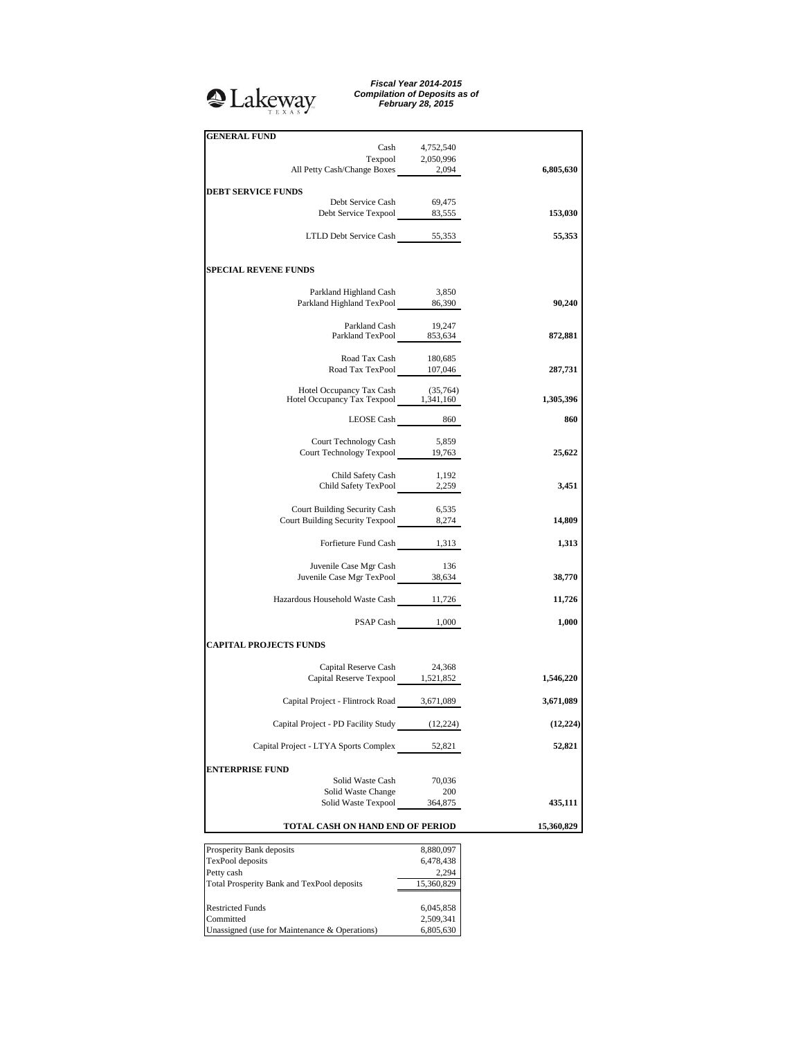# <sup>2</sup>Lakeway

*Fiscal Year 2014-2015 Compilation of Deposits as of February 28, 2015*

| <b>GENERAL FUND</b>                                                        |                   |            |
|----------------------------------------------------------------------------|-------------------|------------|
| Cash                                                                       | 4,752,540         |            |
|                                                                            | Texpool 2,050,996 |            |
| All Petty Cash/Change Boxes                                                | 2,094             | 6,805,630  |
|                                                                            |                   |            |
| <b>DEBT SERVICE FUNDS</b>                                                  |                   |            |
| Debt Service Cash<br>Debt Service Texpool 83,555                           | 69,475            | 153,030    |
|                                                                            |                   |            |
| LTLD Debt Service Cash 55,353                                              |                   | 55,353     |
|                                                                            |                   |            |
|                                                                            |                   |            |
| <b>SPECIAL REVENE FUNDS</b>                                                |                   |            |
|                                                                            |                   |            |
| Parkland Highland Cash 3,850<br>Parkland Highland TexPool 86,390           |                   | 90,240     |
|                                                                            |                   |            |
|                                                                            |                   |            |
| Parkland Cash 19,247<br>Parkland TexPool 853,634                           |                   | 872,881    |
|                                                                            |                   |            |
| Road Tax Cash                                                              | 180,685           |            |
| Road Tax TexPool 107,046                                                   |                   | 287,731    |
|                                                                            |                   |            |
| Hotel Occupancy Tax Cash (35,764)<br>Hotel Occupancy Tax Texpool 1,341,160 |                   | 1,305,396  |
|                                                                            |                   |            |
|                                                                            | LEOSE Cash $860$  | 860        |
| Court Technology Cash                                                      | 5,859             |            |
| Court Technology Texpool 19,763                                            |                   | 25,622     |
|                                                                            |                   |            |
| Child Safety Cash                                                          | 1,192             |            |
| Child Safety TexPool 2,259                                                 |                   | 3,451      |
|                                                                            |                   |            |
| Court Building Security Cash                                               | 6,535             |            |
| Court Building Security Texpool 8,274                                      |                   | 14,809     |
| Forfieture Fund Cash 1,313                                                 |                   | 1,313      |
|                                                                            |                   |            |
| Juvenile Case Mgr Cash                                                     | 136               |            |
| Juvenile Case Mgr Cash<br>Juvenile Case Mgr TexPool 38,634                 |                   | 38,770     |
|                                                                            |                   |            |
| Hazardous Household Waste Cash 11,726                                      |                   | 11,726     |
|                                                                            |                   |            |
|                                                                            | PSAP Cash 1,000   | 1,000      |
| <b>CAPITAL PROJECTS FUNDS</b>                                              |                   |            |
|                                                                            |                   |            |
|                                                                            |                   |            |
| Capital Reserve Cash 24,368<br>Capital Reserve Texpool 1,521,852           |                   | 1,546,220  |
|                                                                            |                   |            |
| Capital Project - Flintrock Road 3,671,089                                 |                   | 3,671,089  |
|                                                                            |                   |            |
| Capital Project - PD Facility Study                                        | (12, 224)         | (12, 224)  |
| Capital Project - LTYA Sports Complex                                      | 52,821            | 52,821     |
|                                                                            |                   |            |
| <b>ENTERPRISE FUND</b>                                                     |                   |            |
| Solid Waste Cash                                                           | 70,036            |            |
| Solid Waste Change                                                         | 200               |            |
| Solid Waste Texpool                                                        | 364,875           | 435,111    |
|                                                                            |                   |            |
| TOTAL CASH ON HAND END OF PERIOD                                           |                   | 15,360,829 |
| Prosperity Bank deposits                                                   | 8,880,097         |            |
| TexPool deposits                                                           | 6,478,438         |            |
| Petty cash                                                                 | 2,294             |            |
| Total Prosperity Bank and TexPool deposits                                 | 15,360,829        |            |

Restricted Funds 6,045,858 Committed 2,509,341 Restricted Funds 6,045,858<br>
Committed 2,509,341<br>
Unassigned (use for Maintenance & Operations) 6,805,630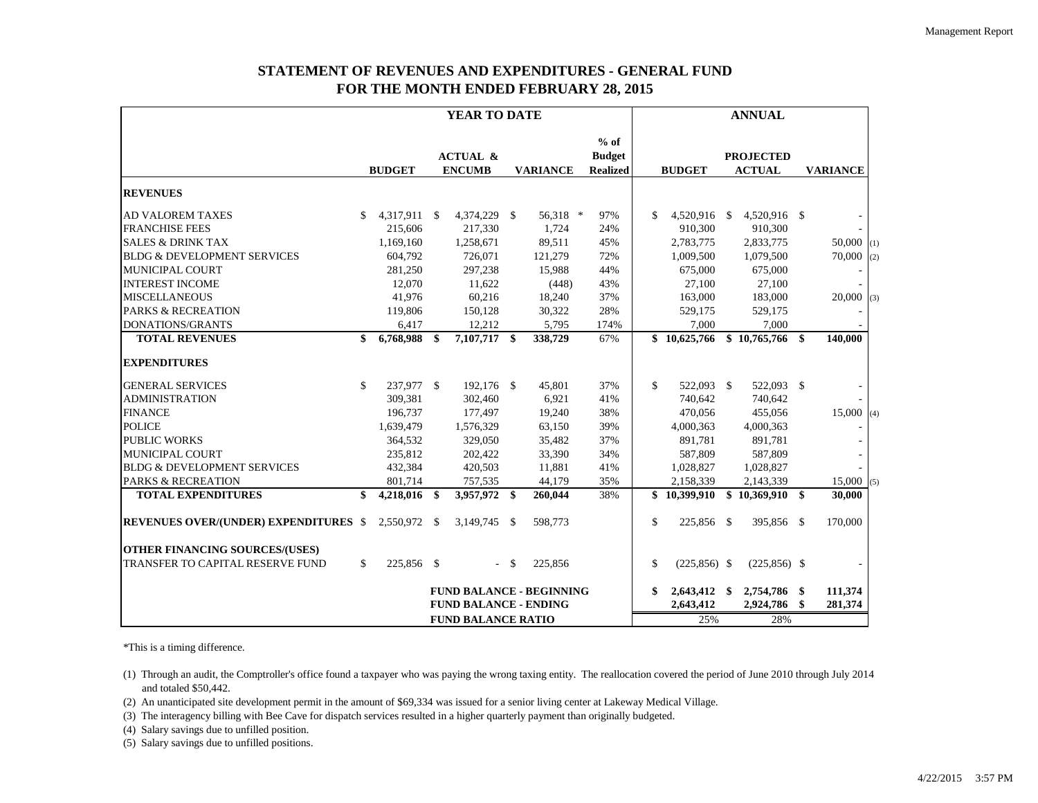# **STATEMENT OF REVENUES AND EXPENDITURES - GENERAL FUND FOR THE MONTH ENDED FEBRUARY 28, 2015**

|                                              | YEAR TO DATE |               |    |                                      |               |                                 | <b>ANNUAL</b>                              |               |                |  |                                   |    |                 |     |
|----------------------------------------------|--------------|---------------|----|--------------------------------------|---------------|---------------------------------|--------------------------------------------|---------------|----------------|--|-----------------------------------|----|-----------------|-----|
|                                              |              | <b>BUDGET</b> |    | <b>ACTUAL &amp;</b><br><b>ENCUMB</b> |               | <b>VARIANCE</b>                 | $%$ of<br><b>Budget</b><br><b>Realized</b> |               | <b>BUDGET</b>  |  | <b>PROJECTED</b><br><b>ACTUAL</b> |    | <b>VARIANCE</b> |     |
| <b>REVENUES</b>                              |              |               |    |                                      |               |                                 |                                            |               |                |  |                                   |    |                 |     |
| <b>AD VALOREM TAXES</b>                      | \$           | 4,317,911 \$  |    | 4,374,229 \$                         |               | 56,318 *                        | 97%                                        | \$            | 4,520,916 \$   |  | 4,520,916 \$                      |    |                 |     |
| <b>FRANCHISE FEES</b>                        |              | 215,606       |    | 217,330                              |               | 1,724                           | 24%                                        |               | 910,300        |  | 910,300                           |    |                 |     |
| <b>SALES &amp; DRINK TAX</b>                 |              | 1,169,160     |    | 1,258,671                            |               | 89,511                          | 45%                                        |               | 2,783,775      |  | 2,833,775                         |    | $50,000$ (1)    |     |
| <b>BLDG &amp; DEVELOPMENT SERVICES</b>       |              | 604,792       |    | 726,071                              |               | 121,279                         | 72%                                        |               | 1,009,500      |  | 1,079,500                         |    | 70,000          | (2) |
| <b>MUNICIPAL COURT</b>                       |              | 281,250       |    | 297,238                              |               | 15,988                          | 44%                                        |               | 675,000        |  | 675,000                           |    |                 |     |
| <b>INTEREST INCOME</b>                       |              | 12,070        |    | 11,622                               |               | (448)                           | 43%                                        |               | 27,100         |  | 27,100                            |    |                 |     |
| <b>MISCELLANEOUS</b>                         |              | 41,976        |    | 60,216                               |               | 18,240                          | 37%                                        |               | 163,000        |  | 183,000                           |    | 20,000          | (3) |
| <b>PARKS &amp; RECREATION</b>                |              | 119,806       |    | 150,128                              |               | 30,322                          | 28%                                        |               | 529,175        |  | 529,175                           |    |                 |     |
| <b>DONATIONS/GRANTS</b>                      |              | 6,417         |    | 12,212                               |               | 5,795                           | 174%                                       |               | 7,000          |  | 7,000                             |    |                 |     |
| <b>TOTAL REVENUES</b>                        | \$           | 6,768,988     | \$ | 7,107,717 \$                         |               | 338,729                         | 67%                                        |               | \$10,625,766   |  | \$10,765,766                      | \$ | 140,000         |     |
| <b>EXPENDITURES</b>                          |              |               |    |                                      |               |                                 |                                            |               |                |  |                                   |    |                 |     |
| <b>GENERAL SERVICES</b>                      | \$           | 237,977 \$    |    | 192,176 \$                           |               | 45,801                          | 37%                                        | $\mathbb{S}$  | 522,093 \$     |  | 522,093 \$                        |    |                 |     |
| <b>ADMINISTRATION</b>                        |              | 309,381       |    | 302,460                              |               | 6,921                           | 41%                                        |               | 740,642        |  | 740,642                           |    |                 |     |
| <b>FINANCE</b>                               |              | 196,737       |    | 177,497                              |               | 19,240                          | 38%                                        |               | 470,056        |  | 455,056                           |    | 15,000(4)       |     |
| <b>POLICE</b>                                |              | 1,639,479     |    | 1,576,329                            |               | 63,150                          | 39%                                        |               | 4,000,363      |  | 4,000,363                         |    |                 |     |
| <b>PUBLIC WORKS</b>                          |              | 364,532       |    | 329,050                              |               | 35,482                          | 37%                                        |               | 891,781        |  | 891,781                           |    |                 |     |
| MUNICIPAL COURT                              |              | 235,812       |    | 202,422                              |               | 33,390                          | 34%                                        |               | 587,809        |  | 587,809                           |    |                 |     |
| <b>BLDG &amp; DEVELOPMENT SERVICES</b>       |              | 432,384       |    | 420,503                              |               | 11,881                          | 41%                                        |               | 1,028,827      |  | 1,028,827                         |    |                 |     |
| <b>PARKS &amp; RECREATION</b>                |              | 801,714       |    | 757,535                              |               | 44,179                          | 35%                                        |               | 2,158,339      |  | 2,143,339                         |    | 15,000(5)       |     |
| <b>TOTAL EXPENDITURES</b>                    | \$           | 4,218,016     | \$ | 3,957,972 \$                         |               | 260,044                         | 38%                                        |               | \$10,399,910   |  | \$10,369,910                      | \$ | 30,000          |     |
| <b>REVENUES OVER/(UNDER) EXPENDITURES \$</b> |              | 2,550,972 \$  |    | 3,149,745 \$                         |               | 598,773                         |                                            | $\mathcal{S}$ | 225,856 \$     |  | 395,856 \$                        |    | 170,000         |     |
| <b>OTHER FINANCING SOURCES/(USES)</b>        |              |               |    |                                      |               |                                 |                                            |               |                |  |                                   |    |                 |     |
| TRANSFER TO CAPITAL RESERVE FUND             | \$           | 225,856 \$    |    | $\sim$                               | <sup>\$</sup> | 225,856                         |                                            | $\mathcal{S}$ | $(225,856)$ \$ |  | $(225,856)$ \$                    |    |                 |     |
|                                              |              |               |    |                                      |               | <b>FUND BALANCE - BEGINNING</b> |                                            | \$            | 2,643,412 \$   |  | 2,754,786 \$                      |    | 111,374         |     |
|                                              |              |               |    | <b>FUND BALANCE - ENDING</b>         |               |                                 |                                            |               | 2,643,412      |  | 2,924,786                         | \$ | 281,374         |     |
| <b>FUND BALANCE RATIO</b>                    |              |               |    |                                      |               |                                 | 25%                                        |               | 28%            |  |                                   |    |                 |     |

\*This is a timing difference.

(1) Through an audit, the Comptroller's office found a taxpayer who was paying the wrong taxing entity. The reallocation covered the period of June 2010 through July 2014 and totaled \$50,442.

(2) An unanticipated site development permit in the amount of \$69,334 was issued for a senior living center at Lakeway Medical Village.

(3) The interagency billing with Bee Cave for dispatch services resulted in a higher quarterly payment than originally budgeted.

(4) Salary savings due to unfilled position.

(5) Salary savings due to unfilled positions.